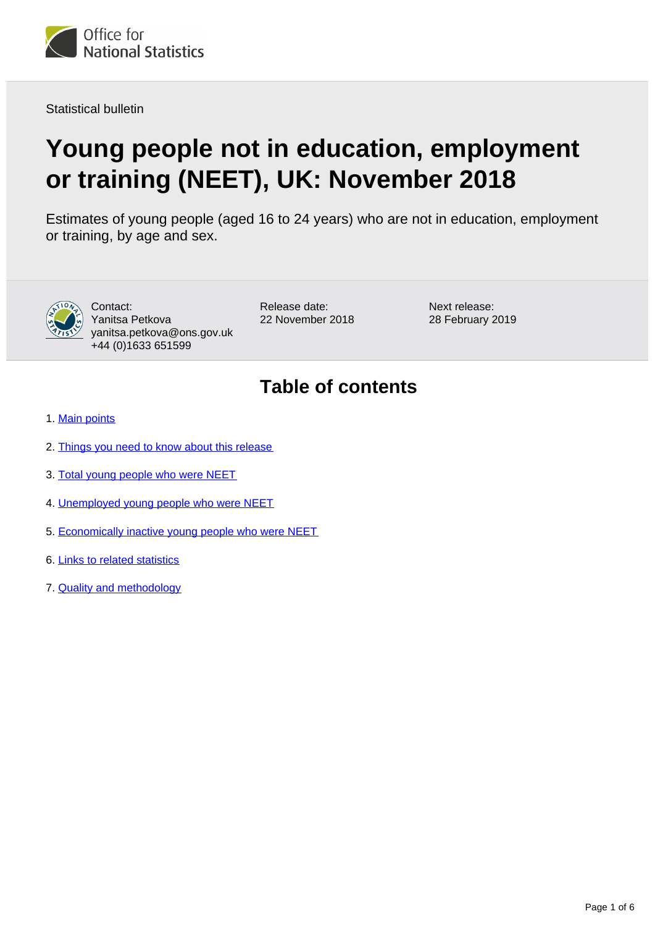

Statistical bulletin

# **Young people not in education, employment or training (NEET), UK: November 2018**

Estimates of young people (aged 16 to 24 years) who are not in education, employment or training, by age and sex.



Contact: Yanitsa Petkova yanitsa.petkova@ons.gov.uk +44 (0)1633 651599

Release date: 22 November 2018 Next release: 28 February 2019

## **Table of contents**

- 1. [Main points](#page-1-0)
- 2. [Things you need to know about this release](#page-1-1)
- 3. [Total young people who were NEET](#page-2-0)
- 4. [Unemployed young people who were NEET](#page-3-0)
- 5. [Economically inactive young people who were NEET](#page-4-0)
- 6. [Links to related statistics](#page-4-1)
- 7. [Quality and methodology](#page-4-2)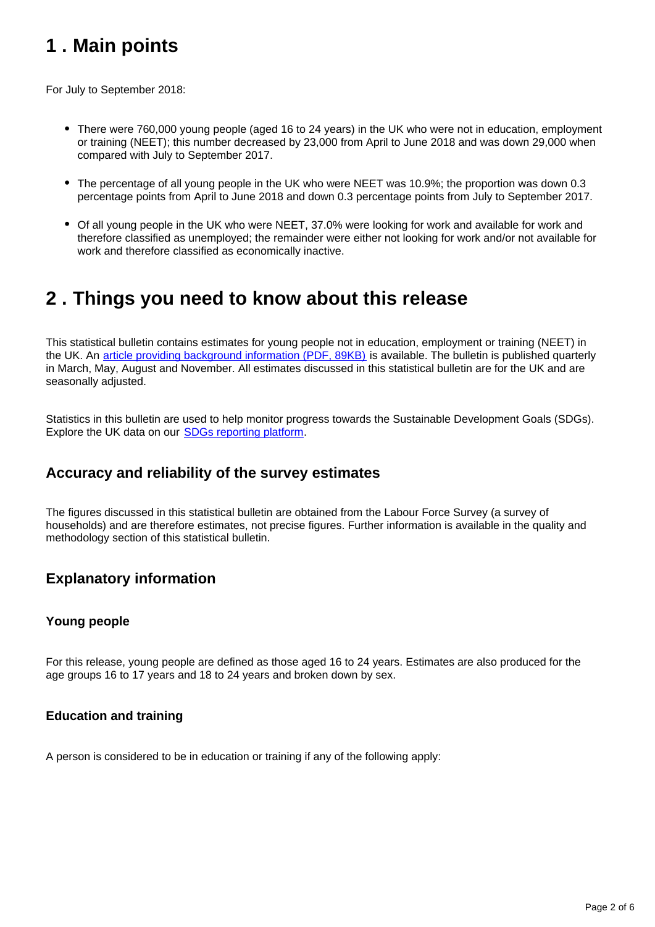## <span id="page-1-0"></span>**1 . Main points**

For July to September 2018:

- There were 760,000 young people (aged 16 to 24 years) in the UK who were not in education, employment or training (NEET); this number decreased by 23,000 from April to June 2018 and was down 29,000 when compared with July to September 2017.
- The percentage of all young people in the UK who were NEET was 10.9%; the proportion was down 0.3 percentage points from April to June 2018 and down 0.3 percentage points from July to September 2017.
- Of all young people in the UK who were NEET, 37.0% were looking for work and available for work and therefore classified as unemployed; the remainder were either not looking for work and/or not available for work and therefore classified as economically inactive.

### <span id="page-1-1"></span>**2 . Things you need to know about this release**

This statistical bulletin contains estimates for young people not in education, employment or training (NEET) in the UK. An [article providing background information \(PDF, 89KB\)](http://webarchive.nationalarchives.gov.uk/20160204094749/http:/ons.gov.uk/ons/guide-method/method-quality/specific/labour-market/articles-and-reports/young-people-who-are-neet.pdf) is available. The bulletin is published quarterly in March, May, August and November. All estimates discussed in this statistical bulletin are for the UK and are seasonally adjusted.

Statistics in this bulletin are used to help monitor progress towards the Sustainable Development Goals (SDGs). Explore the UK data on our [SDGs reporting platform](https://sustainabledevelopment-uk.github.io/).

### **Accuracy and reliability of the survey estimates**

The figures discussed in this statistical bulletin are obtained from the Labour Force Survey (a survey of households) and are therefore estimates, not precise figures. Further information is available in the quality and methodology section of this statistical bulletin.

### **Explanatory information**

#### **Young people**

For this release, young people are defined as those aged 16 to 24 years. Estimates are also produced for the age groups 16 to 17 years and 18 to 24 years and broken down by sex.

#### **Education and training**

A person is considered to be in education or training if any of the following apply: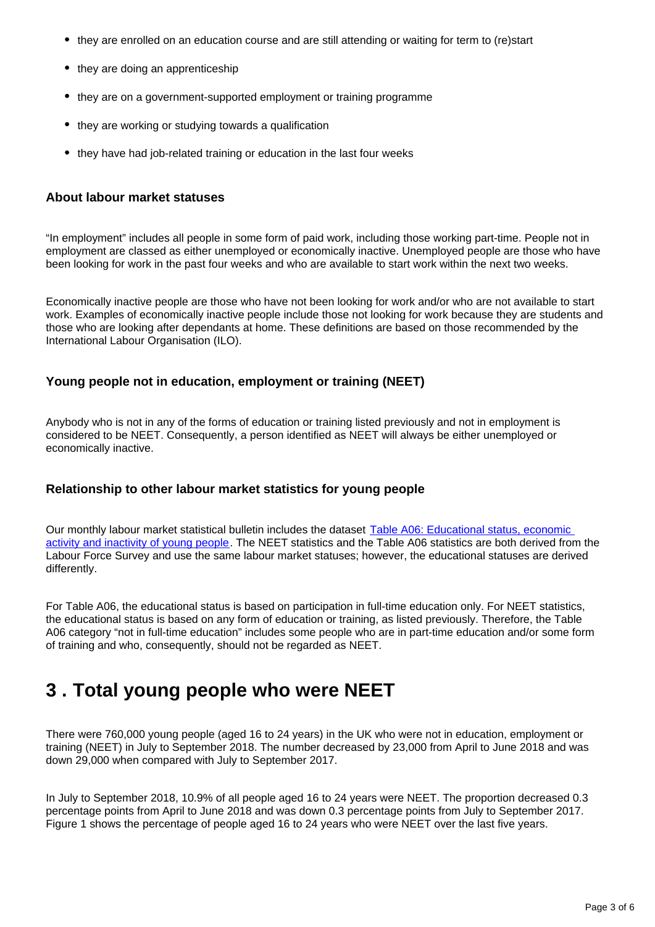- they are enrolled on an education course and are still attending or waiting for term to (re)start
- they are doing an apprenticeship
- they are on a government-supported employment or training programme
- they are working or studying towards a qualification
- they have had job-related training or education in the last four weeks

#### **About labour market statuses**

"In employment" includes all people in some form of paid work, including those working part-time. People not in employment are classed as either unemployed or economically inactive. Unemployed people are those who have been looking for work in the past four weeks and who are available to start work within the next two weeks.

Economically inactive people are those who have not been looking for work and/or who are not available to start work. Examples of economically inactive people include those not looking for work because they are students and those who are looking after dependants at home. These definitions are based on those recommended by the International Labour Organisation (ILO).

#### **Young people not in education, employment or training (NEET)**

Anybody who is not in any of the forms of education or training listed previously and not in employment is considered to be NEET. Consequently, a person identified as NEET will always be either unemployed or economically inactive.

#### **Relationship to other labour market statistics for young people**

Our monthly labour market statistical bulletin includes the dataset Table A06: Educational status, economic [activity and inactivity of young people](http://www.ons.gov.uk/employmentandlabourmarket/peopleinwork/employmentandemployeetypes/datasets/educationalstatusandlabourmarketstatusforpeopleagedfrom16to24seasonallyadjusteda06sa). The NEET statistics and the Table A06 statistics are both derived from the Labour Force Survey and use the same labour market statuses; however, the educational statuses are derived differently.

For Table A06, the educational status is based on participation in full-time education only. For NEET statistics, the educational status is based on any form of education or training, as listed previously. Therefore, the Table A06 category "not in full-time education" includes some people who are in part-time education and/or some form of training and who, consequently, should not be regarded as NEET.

### <span id="page-2-0"></span>**3 . Total young people who were NEET**

There were 760,000 young people (aged 16 to 24 years) in the UK who were not in education, employment or training (NEET) in July to September 2018. The number decreased by 23,000 from April to June 2018 and was down 29,000 when compared with July to September 2017.

In July to September 2018, 10.9% of all people aged 16 to 24 years were NEET. The proportion decreased 0.3 percentage points from April to June 2018 and was down 0.3 percentage points from July to September 2017. Figure 1 shows the percentage of people aged 16 to 24 years who were NEET over the last five years.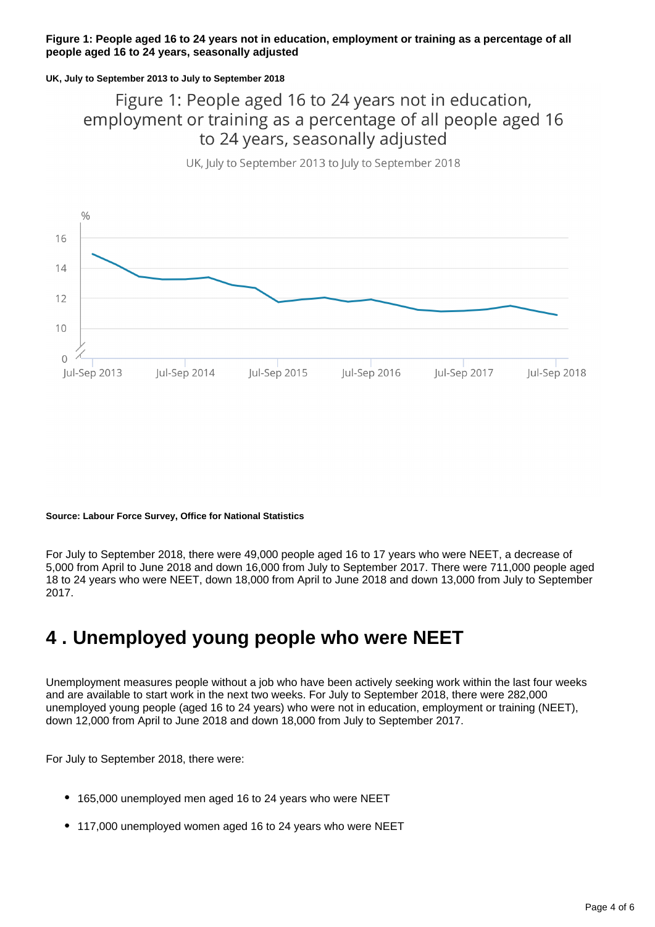#### **Figure 1: People aged 16 to 24 years not in education, employment or training as a percentage of all people aged 16 to 24 years, seasonally adjusted**

#### **UK, July to September 2013 to July to September 2018**

### Figure 1: People aged 16 to 24 years not in education, employment or training as a percentage of all people aged 16 to 24 years, seasonally adjusted

UK, July to September 2013 to July to September 2018



#### **Source: Labour Force Survey, Office for National Statistics**

For July to September 2018, there were 49,000 people aged 16 to 17 years who were NEET, a decrease of 5,000 from April to June 2018 and down 16,000 from July to September 2017. There were 711,000 people aged 18 to 24 years who were NEET, down 18,000 from April to June 2018 and down 13,000 from July to September 2017.

## <span id="page-3-0"></span>**4 . Unemployed young people who were NEET**

Unemployment measures people without a job who have been actively seeking work within the last four weeks and are available to start work in the next two weeks. For July to September 2018, there were 282,000 unemployed young people (aged 16 to 24 years) who were not in education, employment or training (NEET), down 12,000 from April to June 2018 and down 18,000 from July to September 2017.

For July to September 2018, there were:

- 165,000 unemployed men aged 16 to 24 years who were NEET
- 117,000 unemployed women aged 16 to 24 years who were NEET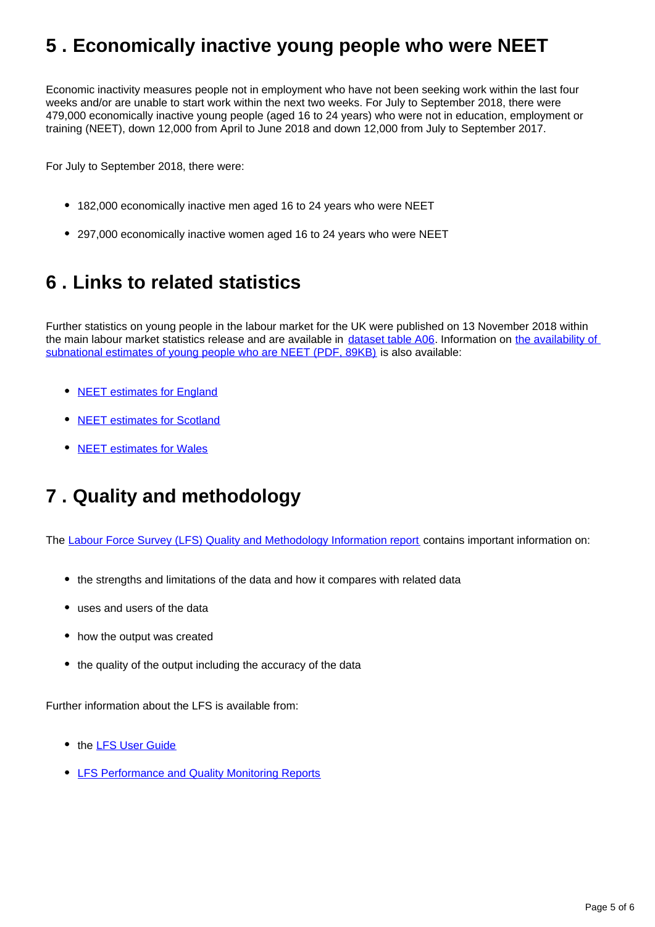## <span id="page-4-0"></span>**5 . Economically inactive young people who were NEET**

Economic inactivity measures people not in employment who have not been seeking work within the last four weeks and/or are unable to start work within the next two weeks. For July to September 2018, there were 479,000 economically inactive young people (aged 16 to 24 years) who were not in education, employment or training (NEET), down 12,000 from April to June 2018 and down 12,000 from July to September 2017.

For July to September 2018, there were:

- 182,000 economically inactive men aged 16 to 24 years who were NEET
- 297,000 economically inactive women aged 16 to 24 years who were NEET

## <span id="page-4-1"></span>**6 . Links to related statistics**

Further statistics on young people in the labour market for the UK were published on 13 November 2018 within the main labour market statistics release and are available in [dataset table A06](https://www.ons.gov.uk/employmentandlabourmarket/peopleinwork/employmentandemployeetypes/datasets/educationalstatusandlabourmarketstatusforpeopleagedfrom16to24seasonallyadjusteda06sa). Information on the availability of [subnational estimates of young people who are NEET \(PDF, 89KB\)](http://webarchive.nationalarchives.gov.uk/20160204094749/http:/ons.gov.uk/ons/guide-method/method-quality/specific/labour-market/articles-and-reports/young-people-who-are-neet.pdf) is also available:

- [NEET estimates for England](https://www.gov.uk/government/collections/statistics-neet)
- [NEET estimates for Scotland](http://www.gov.scot/Topics/Statistics/Browse/Labour-Market/LANEET)
- [NEET estimates for Wales](http://gov.wales/statistics-and-research/young-people-not-education-employment-training/?lang=en)

## <span id="page-4-2"></span>**7 . Quality and methodology**

The [Labour Force Survey \(LFS\) Quality and Methodology Information report](http://www.ons.gov.uk/employmentandlabourmarket/peopleinwork/employmentandemployeetypes/qmis/labourforcesurveylfsqmi) contains important information on:

- the strengths and limitations of the data and how it compares with related data
- uses and users of the data
- how the output was created
- the quality of the output including the accuracy of the data

Further information about the LFS is available from:

- the **[LFS User Guide](https://www.ons.gov.uk/employmentandlabourmarket/peopleinwork/employmentandemployeetypes/methodologies/labourforcesurveyuserguidance)**
- **[LFS Performance and Quality Monitoring Reports](https://www.ons.gov.uk/employmentandlabourmarket/peopleinwork/employmentandemployeetypes/methodologies/labourforcesurveyperformanceandqualitymonitoringreports)**